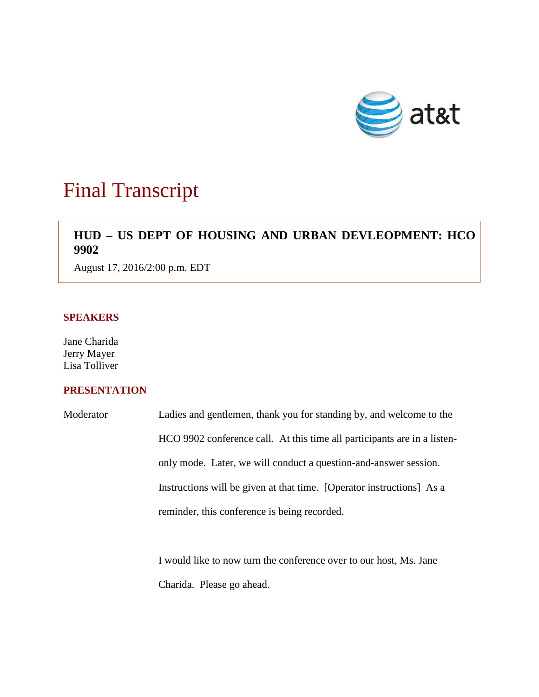

# Final Transcript

# **HUD – US DEPT OF HOUSING AND URBAN DEVLEOPMENT: HCO 9902**

August 17, 2016/2:00 p.m. EDT

# **SPEAKERS**

Jane Charida Jerry Mayer Lisa Tolliver

# **PRESENTATION**

| Moderator | Ladies and gentlemen, thank you for standing by, and welcome to the      |
|-----------|--------------------------------------------------------------------------|
|           | HCO 9902 conference call. At this time all participants are in a listen- |
|           | only mode. Later, we will conduct a question-and-answer session.         |
|           | Instructions will be given at that time. [Operator instructions] As a    |
|           | reminder, this conference is being recorded.                             |
|           |                                                                          |

I would like to now turn the conference over to our host, Ms. Jane Charida. Please go ahead.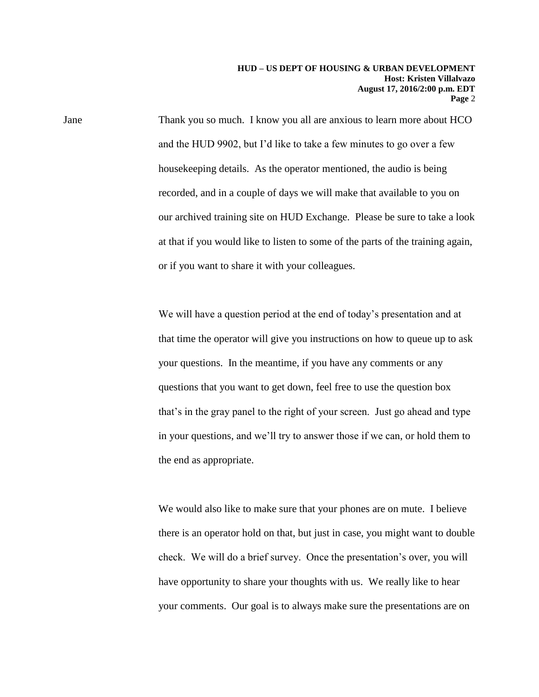Jane Thank you so much. I know you all are anxious to learn more about HCO and the HUD 9902, but I'd like to take a few minutes to go over a few housekeeping details. As the operator mentioned, the audio is being recorded, and in a couple of days we will make that available to you on our archived training site on HUD Exchange. Please be sure to take a look at that if you would like to listen to some of the parts of the training again, or if you want to share it with your colleagues.

> We will have a question period at the end of today's presentation and at that time the operator will give you instructions on how to queue up to ask your questions. In the meantime, if you have any comments or any questions that you want to get down, feel free to use the question box that's in the gray panel to the right of your screen. Just go ahead and type in your questions, and we'll try to answer those if we can, or hold them to the end as appropriate.

> We would also like to make sure that your phones are on mute. I believe there is an operator hold on that, but just in case, you might want to double check. We will do a brief survey. Once the presentation's over, you will have opportunity to share your thoughts with us. We really like to hear your comments. Our goal is to always make sure the presentations are on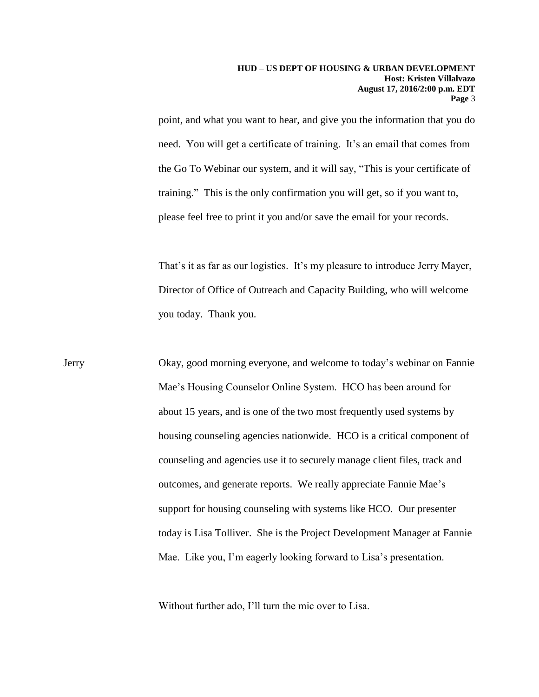point, and what you want to hear, and give you the information that you do need. You will get a certificate of training. It's an email that comes from the Go To Webinar our system, and it will say, "This is your certificate of training." This is the only confirmation you will get, so if you want to, please feel free to print it you and/or save the email for your records.

That's it as far as our logistics. It's my pleasure to introduce Jerry Mayer, Director of Office of Outreach and Capacity Building, who will welcome you today. Thank you.

Jerry Okay, good morning everyone, and welcome to today's webinar on Fannie Mae's Housing Counselor Online System. HCO has been around for about 15 years, and is one of the two most frequently used systems by housing counseling agencies nationwide. HCO is a critical component of counseling and agencies use it to securely manage client files, track and outcomes, and generate reports. We really appreciate Fannie Mae's support for housing counseling with systems like HCO. Our presenter today is Lisa Tolliver. She is the Project Development Manager at Fannie Mae. Like you, I'm eagerly looking forward to Lisa's presentation.

Without further ado, I'll turn the mic over to Lisa.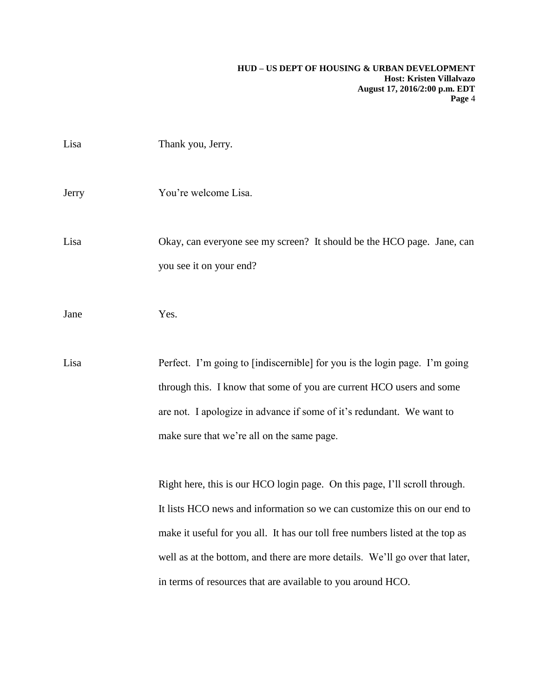| Lisa  | Thank you, Jerry.                                                                                                                                                                                                                                                                                                                                                                      |
|-------|----------------------------------------------------------------------------------------------------------------------------------------------------------------------------------------------------------------------------------------------------------------------------------------------------------------------------------------------------------------------------------------|
| Jerry | You're welcome Lisa.                                                                                                                                                                                                                                                                                                                                                                   |
| Lisa  | Okay, can everyone see my screen? It should be the HCO page. Jane, can<br>you see it on your end?                                                                                                                                                                                                                                                                                      |
| Jane  | Yes.                                                                                                                                                                                                                                                                                                                                                                                   |
| Lisa  | Perfect. I'm going to [indiscernible] for you is the login page. I'm going<br>through this. I know that some of you are current HCO users and some<br>are not. I apologize in advance if some of it's redundant. We want to<br>make sure that we're all on the same page.                                                                                                              |
|       | Right here, this is our HCO login page. On this page, I'll scroll through.<br>It lists HCO news and information so we can customize this on our end to<br>make it useful for you all. It has our toll free numbers listed at the top as<br>well as at the bottom, and there are more details. We'll go over that later,<br>in terms of resources that are available to you around HCO. |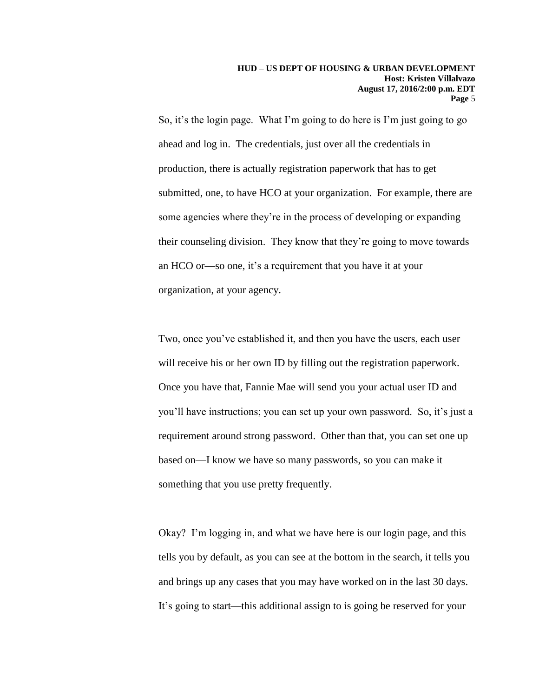So, it's the login page. What I'm going to do here is I'm just going to go ahead and log in. The credentials, just over all the credentials in production, there is actually registration paperwork that has to get submitted, one, to have HCO at your organization. For example, there are some agencies where they're in the process of developing or expanding their counseling division. They know that they're going to move towards an HCO or—so one, it's a requirement that you have it at your organization, at your agency.

Two, once you've established it, and then you have the users, each user will receive his or her own ID by filling out the registration paperwork. Once you have that, Fannie Mae will send you your actual user ID and you'll have instructions; you can set up your own password. So, it's just a requirement around strong password. Other than that, you can set one up based on—I know we have so many passwords, so you can make it something that you use pretty frequently.

Okay? I'm logging in, and what we have here is our login page, and this tells you by default, as you can see at the bottom in the search, it tells you and brings up any cases that you may have worked on in the last 30 days. It's going to start—this additional assign to is going be reserved for your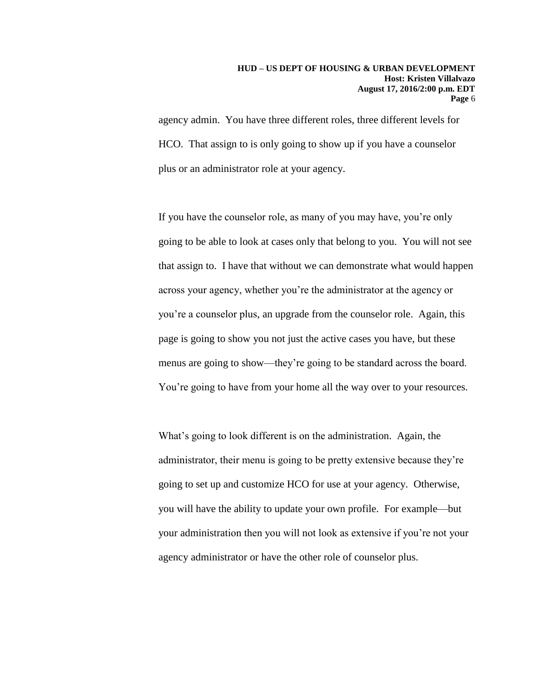agency admin. You have three different roles, three different levels for HCO. That assign to is only going to show up if you have a counselor plus or an administrator role at your agency.

If you have the counselor role, as many of you may have, you're only going to be able to look at cases only that belong to you. You will not see that assign to. I have that without we can demonstrate what would happen across your agency, whether you're the administrator at the agency or you're a counselor plus, an upgrade from the counselor role. Again, this page is going to show you not just the active cases you have, but these menus are going to show—they're going to be standard across the board. You're going to have from your home all the way over to your resources.

What's going to look different is on the administration. Again, the administrator, their menu is going to be pretty extensive because they're going to set up and customize HCO for use at your agency. Otherwise, you will have the ability to update your own profile. For example—but your administration then you will not look as extensive if you're not your agency administrator or have the other role of counselor plus.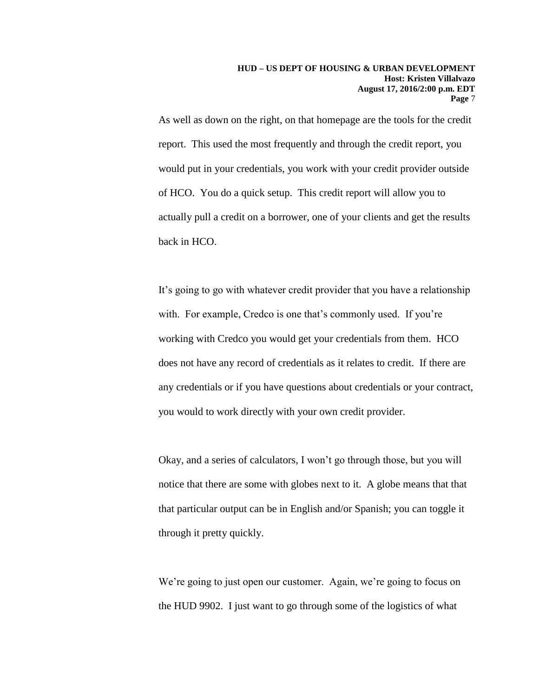As well as down on the right, on that homepage are the tools for the credit report. This used the most frequently and through the credit report, you would put in your credentials, you work with your credit provider outside of HCO. You do a quick setup. This credit report will allow you to actually pull a credit on a borrower, one of your clients and get the results back in HCO.

It's going to go with whatever credit provider that you have a relationship with. For example, Credco is one that's commonly used. If you're working with Credco you would get your credentials from them. HCO does not have any record of credentials as it relates to credit. If there are any credentials or if you have questions about credentials or your contract, you would to work directly with your own credit provider.

Okay, and a series of calculators, I won't go through those, but you will notice that there are some with globes next to it. A globe means that that that particular output can be in English and/or Spanish; you can toggle it through it pretty quickly.

We're going to just open our customer. Again, we're going to focus on the HUD 9902. I just want to go through some of the logistics of what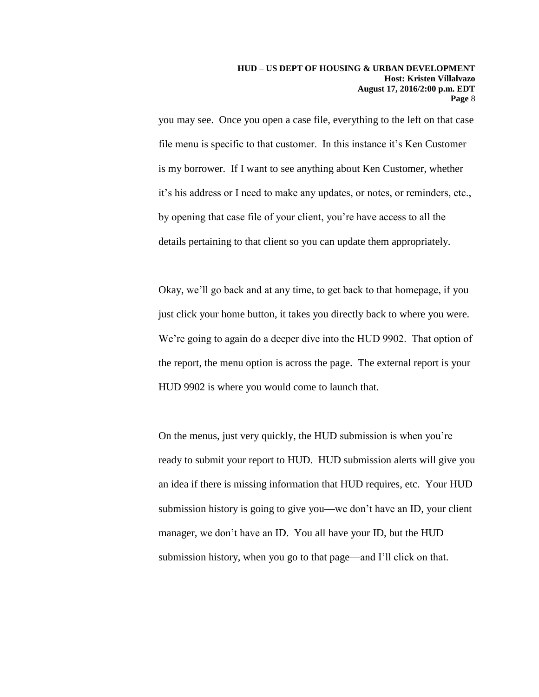you may see. Once you open a case file, everything to the left on that case file menu is specific to that customer. In this instance it's Ken Customer is my borrower. If I want to see anything about Ken Customer, whether it's his address or I need to make any updates, or notes, or reminders, etc., by opening that case file of your client, you're have access to all the details pertaining to that client so you can update them appropriately.

Okay, we'll go back and at any time, to get back to that homepage, if you just click your home button, it takes you directly back to where you were. We're going to again do a deeper dive into the HUD 9902. That option of the report, the menu option is across the page. The external report is your HUD 9902 is where you would come to launch that.

On the menus, just very quickly, the HUD submission is when you're ready to submit your report to HUD. HUD submission alerts will give you an idea if there is missing information that HUD requires, etc. Your HUD submission history is going to give you—we don't have an ID, your client manager, we don't have an ID. You all have your ID, but the HUD submission history, when you go to that page—and I'll click on that.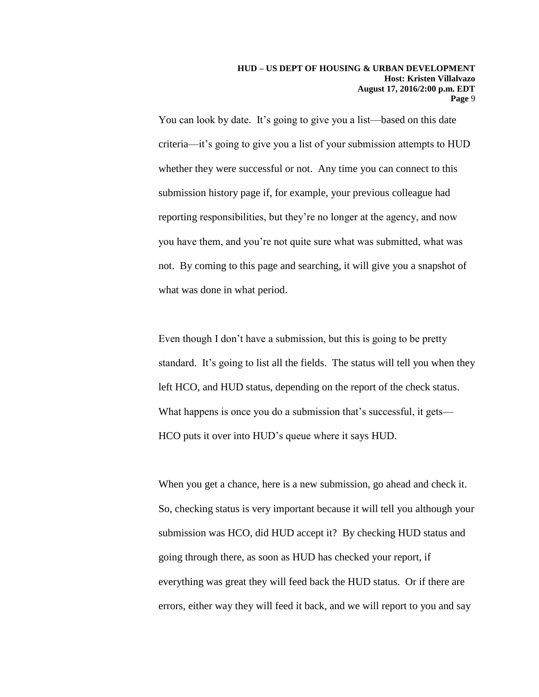You can look by date. It's going to give you a list—based on this date criteria—it's going to give you a list of your submission attempts to HUD whether they were successful or not. Any time you can connect to this submission history page if, for example, your previous colleague had reporting responsibilities, but they're no longer at the agency, and now you have them, and you're not quite sure what was submitted, what was not. By coming to this page and searching, it will give you a snapshot of what was done in what period.

Even though I don't have a submission, but this is going to be pretty standard. It's going to list all the fields. The status will tell you when they left HCO, and HUD status, depending on the report of the check status. What happens is once you do a submission that's successful, it gets— HCO puts it over into HUD's queue where it says HUD.

When you get a chance, here is a new submission, go ahead and check it. So, checking status is very important because it will tell you although your submission was HCO, did HUD accept it? By checking HUD status and going through there, as soon as HUD has checked your report, if everything was great they will feed back the HUD status. Or if there are errors, either way they will feed it back, and we will report to you and say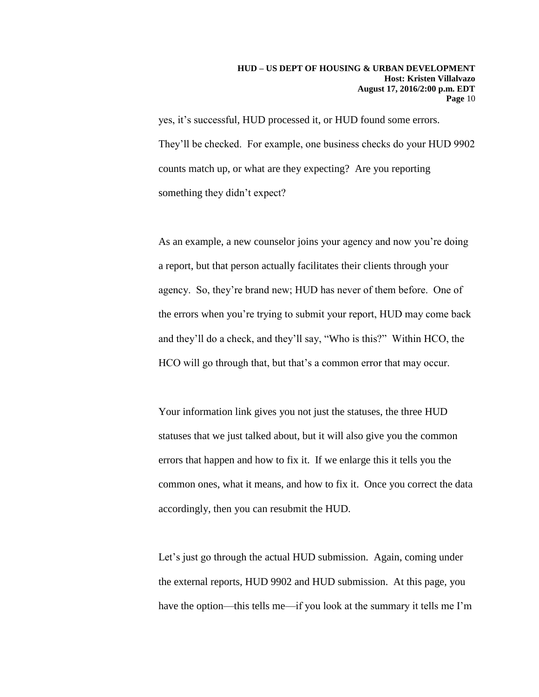yes, it's successful, HUD processed it, or HUD found some errors. They'll be checked. For example, one business checks do your HUD 9902 counts match up, or what are they expecting? Are you reporting something they didn't expect?

As an example, a new counselor joins your agency and now you're doing a report, but that person actually facilitates their clients through your agency. So, they're brand new; HUD has never of them before. One of the errors when you're trying to submit your report, HUD may come back and they'll do a check, and they'll say, "Who is this?" Within HCO, the HCO will go through that, but that's a common error that may occur.

Your information link gives you not just the statuses, the three HUD statuses that we just talked about, but it will also give you the common errors that happen and how to fix it. If we enlarge this it tells you the common ones, what it means, and how to fix it. Once you correct the data accordingly, then you can resubmit the HUD.

Let's just go through the actual HUD submission. Again, coming under the external reports, HUD 9902 and HUD submission. At this page, you have the option—this tells me—if you look at the summary it tells me I'm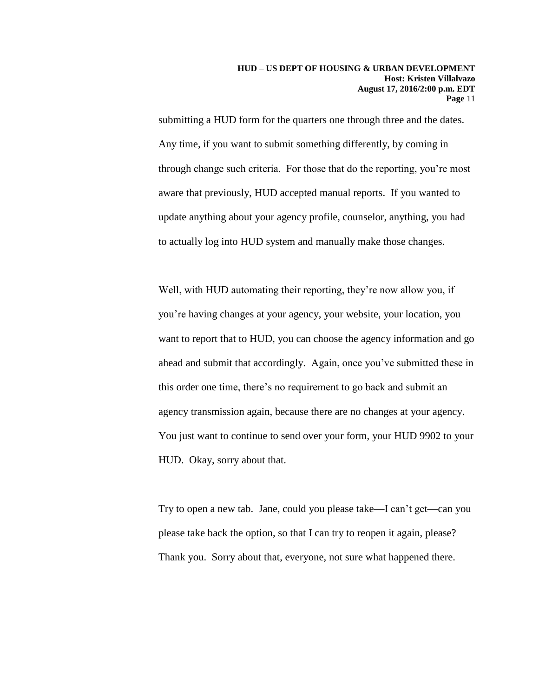submitting a HUD form for the quarters one through three and the dates. Any time, if you want to submit something differently, by coming in through change such criteria. For those that do the reporting, you're most aware that previously, HUD accepted manual reports. If you wanted to update anything about your agency profile, counselor, anything, you had to actually log into HUD system and manually make those changes.

Well, with HUD automating their reporting, they're now allow you, if you're having changes at your agency, your website, your location, you want to report that to HUD, you can choose the agency information and go ahead and submit that accordingly. Again, once you've submitted these in this order one time, there's no requirement to go back and submit an agency transmission again, because there are no changes at your agency. You just want to continue to send over your form, your HUD 9902 to your HUD. Okay, sorry about that.

Try to open a new tab. Jane, could you please take—I can't get—can you please take back the option, so that I can try to reopen it again, please? Thank you. Sorry about that, everyone, not sure what happened there.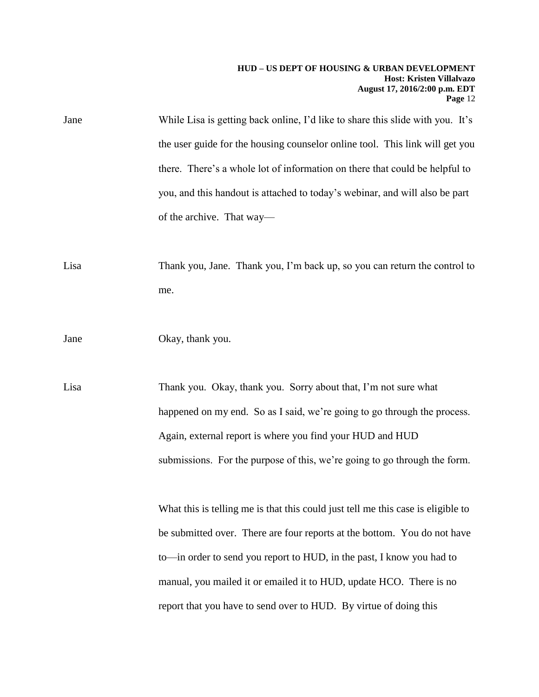| Jane | While Lisa is getting back online, I'd like to share this slide with you. It's   |
|------|----------------------------------------------------------------------------------|
|      | the user guide for the housing counselor online tool. This link will get you     |
|      | there. There's a whole lot of information on there that could be helpful to      |
|      | you, and this handout is attached to today's webinar, and will also be part      |
|      | of the archive. That way—                                                        |
|      |                                                                                  |
| Lisa | Thank you, Jane. Thank you, I'm back up, so you can return the control to        |
|      | me.                                                                              |
|      |                                                                                  |
| Jane | Okay, thank you.                                                                 |
|      |                                                                                  |
| Lisa | Thank you. Okay, thank you. Sorry about that, I'm not sure what                  |
|      | happened on my end. So as I said, we're going to go through the process.         |
|      | Again, external report is where you find your HUD and HUD                        |
|      | submissions. For the purpose of this, we're going to go through the form.        |
|      |                                                                                  |
|      | What this is telling me is that this could just tell me this case is eligible to |
|      | be submitted over. There are four reports at the bottom. You do not have         |
|      | to—in order to send you report to HUD, in the past, I know you had to            |
|      | manual, you mailed it or emailed it to HUD, update HCO. There is no              |

report that you have to send over to HUD. By virtue of doing this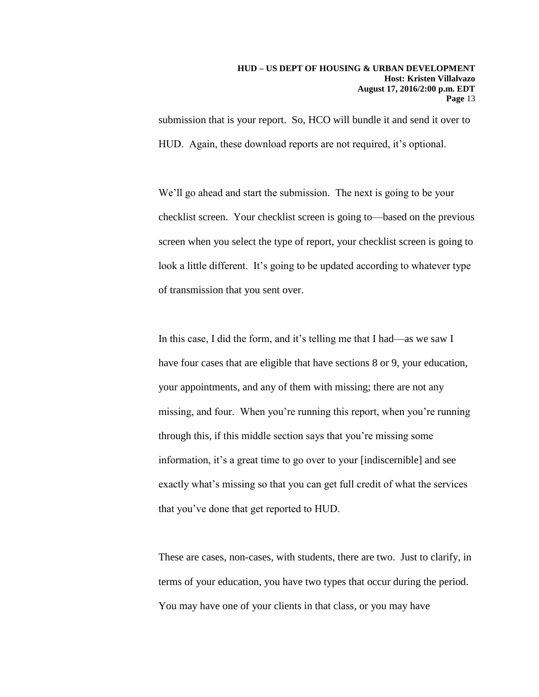submission that is your report. So, HCO will bundle it and send it over to HUD. Again, these download reports are not required, it's optional.

We'll go ahead and start the submission. The next is going to be your checklist screen. Your checklist screen is going to—based on the previous screen when you select the type of report, your checklist screen is going to look a little different. It's going to be updated according to whatever type of transmission that you sent over.

In this case, I did the form, and it's telling me that I had—as we saw I have four cases that are eligible that have sections 8 or 9, your education, your appointments, and any of them with missing; there are not any missing, and four. When you're running this report, when you're running through this, if this middle section says that you're missing some information, it's a great time to go over to your [indiscernible] and see exactly what's missing so that you can get full credit of what the services that you've done that get reported to HUD.

These are cases, non-cases, with students, there are two. Just to clarify, in terms of your education, you have two types that occur during the period. You may have one of your clients in that class, or you may have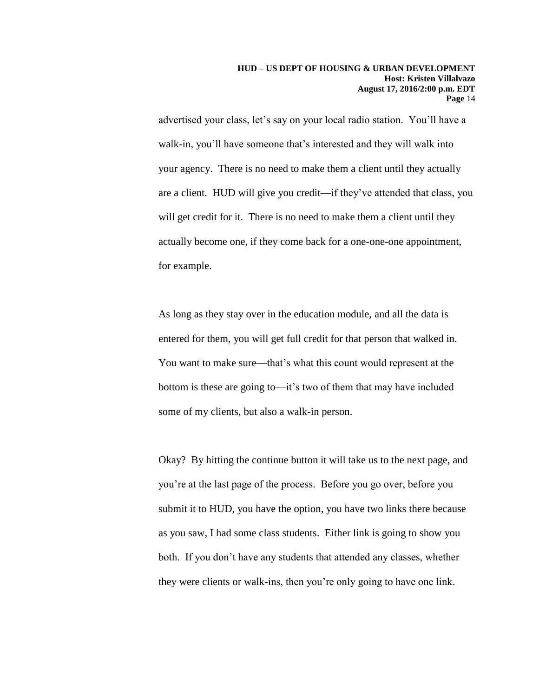advertised your class, let's say on your local radio station. You'll have a walk-in, you'll have someone that's interested and they will walk into your agency. There is no need to make them a client until they actually are a client. HUD will give you credit—if they've attended that class, you will get credit for it. There is no need to make them a client until they actually become one, if they come back for a one-one-one appointment, for example.

As long as they stay over in the education module, and all the data is entered for them, you will get full credit for that person that walked in. You want to make sure—that's what this count would represent at the bottom is these are going to—it's two of them that may have included some of my clients, but also a walk-in person.

Okay? By hitting the continue button it will take us to the next page, and you're at the last page of the process. Before you go over, before you submit it to HUD, you have the option, you have two links there because as you saw, I had some class students. Either link is going to show you both. If you don't have any students that attended any classes, whether they were clients or walk-ins, then you're only going to have one link.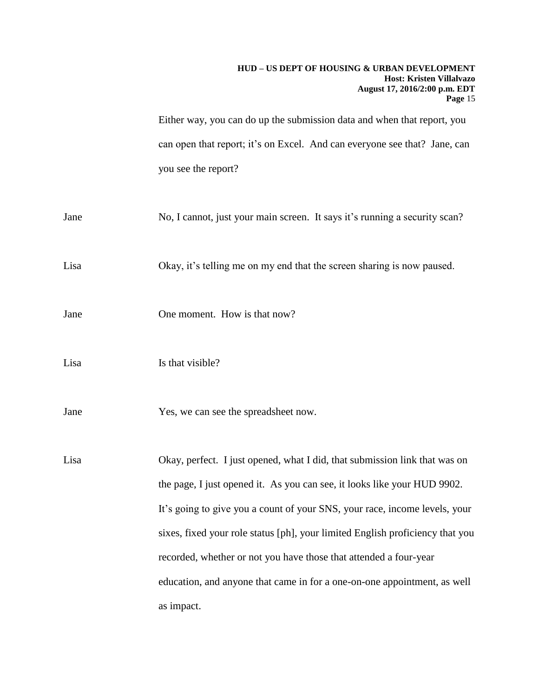Either way, you can do up the submission data and when that report, you can open that report; it's on Excel. And can everyone see that? Jane, can you see the report?

Jane No, I cannot, just your main screen. It says it's running a security scan?

Lisa Okay, it's telling me on my end that the screen sharing is now paused.

- Jane One moment. How is that now?
- Lisa Is that visible?
- Jane Yes, we can see the spreadsheet now.

Lisa Okay, perfect. I just opened, what I did, that submission link that was on the page, I just opened it. As you can see, it looks like your HUD 9902. It's going to give you a count of your SNS, your race, income levels, your sixes, fixed your role status [ph], your limited English proficiency that you recorded, whether or not you have those that attended a four-year education, and anyone that came in for a one-on-one appointment, as well as impact.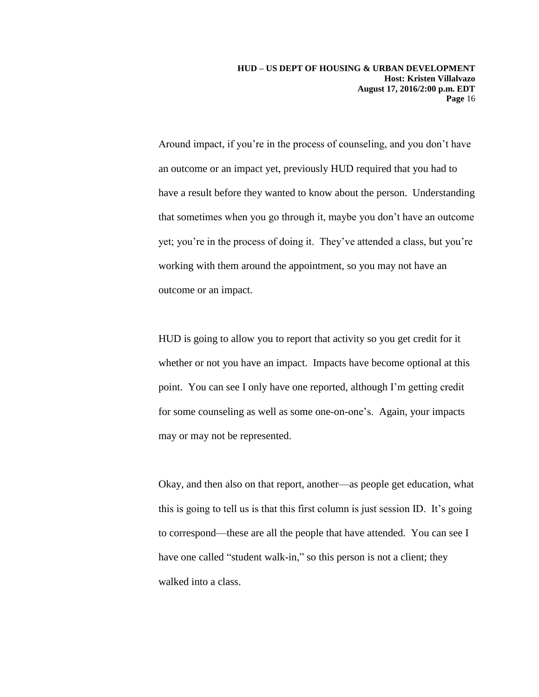Around impact, if you're in the process of counseling, and you don't have an outcome or an impact yet, previously HUD required that you had to have a result before they wanted to know about the person. Understanding that sometimes when you go through it, maybe you don't have an outcome yet; you're in the process of doing it. They've attended a class, but you're working with them around the appointment, so you may not have an outcome or an impact.

HUD is going to allow you to report that activity so you get credit for it whether or not you have an impact. Impacts have become optional at this point. You can see I only have one reported, although I'm getting credit for some counseling as well as some one-on-one's. Again, your impacts may or may not be represented.

Okay, and then also on that report, another—as people get education, what this is going to tell us is that this first column is just session ID. It's going to correspond—these are all the people that have attended. You can see I have one called "student walk-in," so this person is not a client; they walked into a class.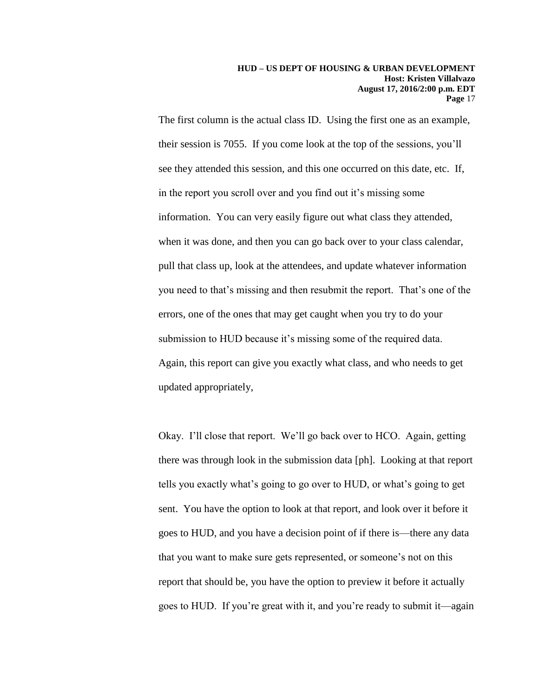The first column is the actual class ID. Using the first one as an example, their session is 7055. If you come look at the top of the sessions, you'll see they attended this session, and this one occurred on this date, etc. If, in the report you scroll over and you find out it's missing some information. You can very easily figure out what class they attended, when it was done, and then you can go back over to your class calendar, pull that class up, look at the attendees, and update whatever information you need to that's missing and then resubmit the report. That's one of the errors, one of the ones that may get caught when you try to do your submission to HUD because it's missing some of the required data. Again, this report can give you exactly what class, and who needs to get updated appropriately,

Okay. I'll close that report. We'll go back over to HCO. Again, getting there was through look in the submission data [ph]. Looking at that report tells you exactly what's going to go over to HUD, or what's going to get sent. You have the option to look at that report, and look over it before it goes to HUD, and you have a decision point of if there is—there any data that you want to make sure gets represented, or someone's not on this report that should be, you have the option to preview it before it actually goes to HUD. If you're great with it, and you're ready to submit it—again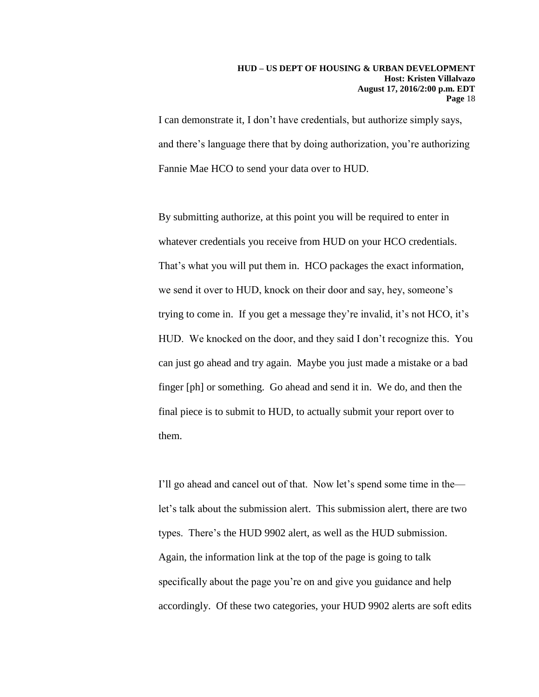I can demonstrate it, I don't have credentials, but authorize simply says, and there's language there that by doing authorization, you're authorizing Fannie Mae HCO to send your data over to HUD.

By submitting authorize, at this point you will be required to enter in whatever credentials you receive from HUD on your HCO credentials. That's what you will put them in. HCO packages the exact information, we send it over to HUD, knock on their door and say, hey, someone's trying to come in. If you get a message they're invalid, it's not HCO, it's HUD. We knocked on the door, and they said I don't recognize this. You can just go ahead and try again. Maybe you just made a mistake or a bad finger [ph] or something. Go ahead and send it in. We do, and then the final piece is to submit to HUD, to actually submit your report over to them.

I'll go ahead and cancel out of that. Now let's spend some time in the let's talk about the submission alert. This submission alert, there are two types. There's the HUD 9902 alert, as well as the HUD submission. Again, the information link at the top of the page is going to talk specifically about the page you're on and give you guidance and help accordingly. Of these two categories, your HUD 9902 alerts are soft edits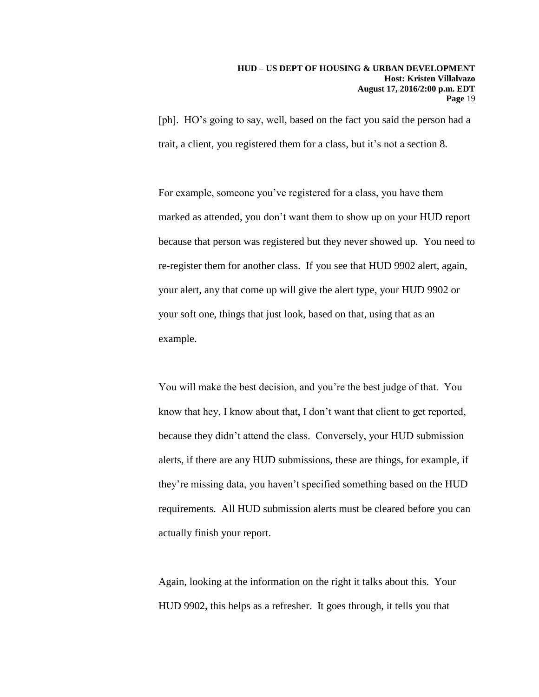[ph]. HO's going to say, well, based on the fact you said the person had a trait, a client, you registered them for a class, but it's not a section 8.

For example, someone you've registered for a class, you have them marked as attended, you don't want them to show up on your HUD report because that person was registered but they never showed up. You need to re-register them for another class. If you see that HUD 9902 alert, again, your alert, any that come up will give the alert type, your HUD 9902 or your soft one, things that just look, based on that, using that as an example.

You will make the best decision, and you're the best judge of that. You know that hey, I know about that, I don't want that client to get reported, because they didn't attend the class. Conversely, your HUD submission alerts, if there are any HUD submissions, these are things, for example, if they're missing data, you haven't specified something based on the HUD requirements. All HUD submission alerts must be cleared before you can actually finish your report.

Again, looking at the information on the right it talks about this. Your HUD 9902, this helps as a refresher. It goes through, it tells you that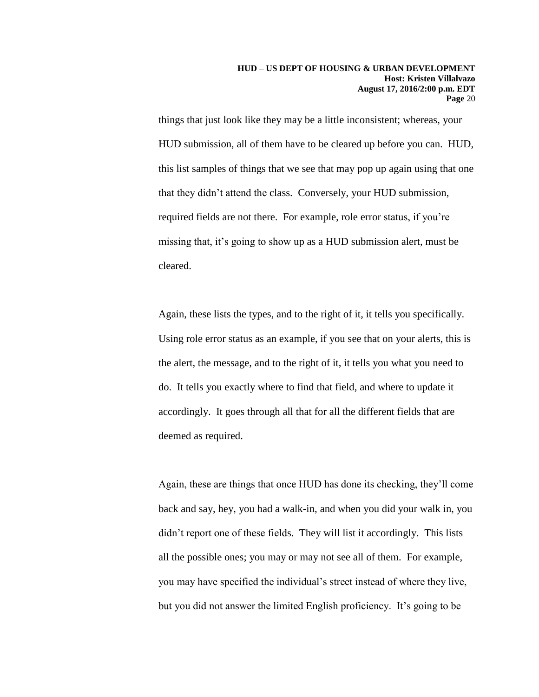things that just look like they may be a little inconsistent; whereas, your HUD submission, all of them have to be cleared up before you can. HUD, this list samples of things that we see that may pop up again using that one that they didn't attend the class. Conversely, your HUD submission, required fields are not there. For example, role error status, if you're missing that, it's going to show up as a HUD submission alert, must be cleared.

Again, these lists the types, and to the right of it, it tells you specifically. Using role error status as an example, if you see that on your alerts, this is the alert, the message, and to the right of it, it tells you what you need to do. It tells you exactly where to find that field, and where to update it accordingly. It goes through all that for all the different fields that are deemed as required.

Again, these are things that once HUD has done its checking, they'll come back and say, hey, you had a walk-in, and when you did your walk in, you didn't report one of these fields. They will list it accordingly. This lists all the possible ones; you may or may not see all of them. For example, you may have specified the individual's street instead of where they live, but you did not answer the limited English proficiency. It's going to be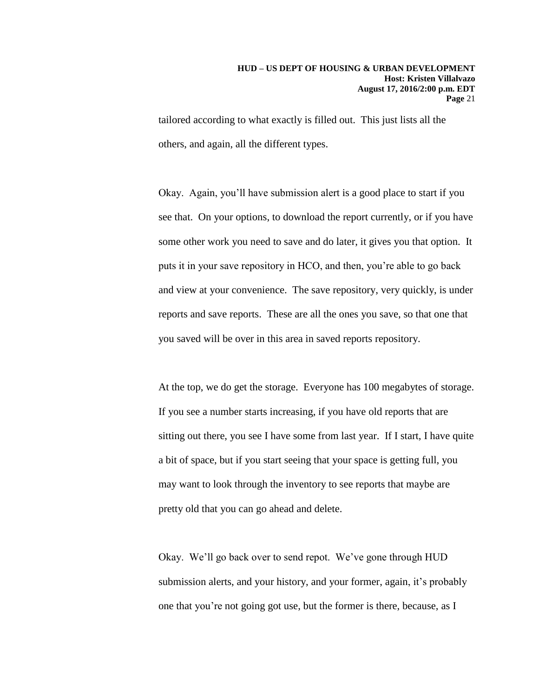tailored according to what exactly is filled out. This just lists all the others, and again, all the different types.

Okay. Again, you'll have submission alert is a good place to start if you see that. On your options, to download the report currently, or if you have some other work you need to save and do later, it gives you that option. It puts it in your save repository in HCO, and then, you're able to go back and view at your convenience. The save repository, very quickly, is under reports and save reports. These are all the ones you save, so that one that you saved will be over in this area in saved reports repository.

At the top, we do get the storage. Everyone has 100 megabytes of storage. If you see a number starts increasing, if you have old reports that are sitting out there, you see I have some from last year. If I start, I have quite a bit of space, but if you start seeing that your space is getting full, you may want to look through the inventory to see reports that maybe are pretty old that you can go ahead and delete.

Okay. We'll go back over to send repot. We've gone through HUD submission alerts, and your history, and your former, again, it's probably one that you're not going got use, but the former is there, because, as I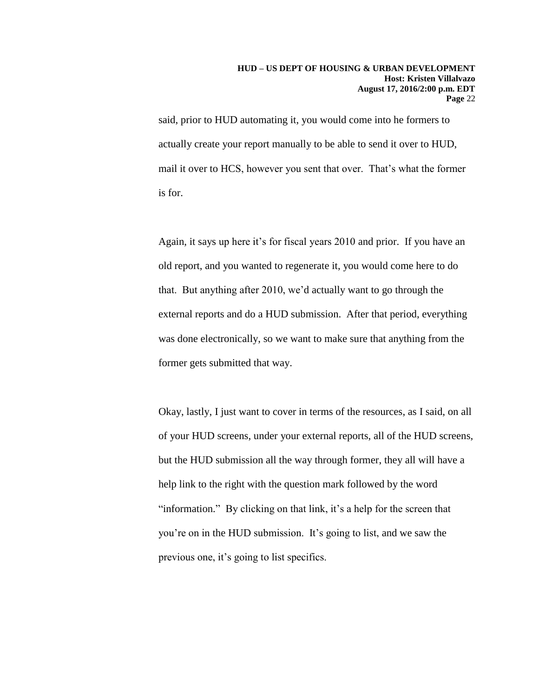said, prior to HUD automating it, you would come into he formers to actually create your report manually to be able to send it over to HUD, mail it over to HCS, however you sent that over. That's what the former is for.

Again, it says up here it's for fiscal years 2010 and prior. If you have an old report, and you wanted to regenerate it, you would come here to do that. But anything after 2010, we'd actually want to go through the external reports and do a HUD submission. After that period, everything was done electronically, so we want to make sure that anything from the former gets submitted that way.

Okay, lastly, I just want to cover in terms of the resources, as I said, on all of your HUD screens, under your external reports, all of the HUD screens, but the HUD submission all the way through former, they all will have a help link to the right with the question mark followed by the word "information." By clicking on that link, it's a help for the screen that you're on in the HUD submission. It's going to list, and we saw the previous one, it's going to list specifics.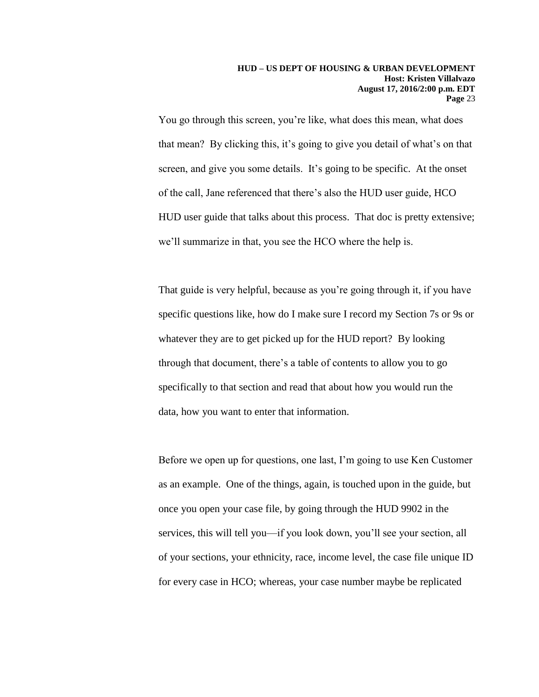You go through this screen, you're like, what does this mean, what does that mean? By clicking this, it's going to give you detail of what's on that screen, and give you some details. It's going to be specific. At the onset of the call, Jane referenced that there's also the HUD user guide, HCO HUD user guide that talks about this process. That doc is pretty extensive; we'll summarize in that, you see the HCO where the help is.

That guide is very helpful, because as you're going through it, if you have specific questions like, how do I make sure I record my Section 7s or 9s or whatever they are to get picked up for the HUD report? By looking through that document, there's a table of contents to allow you to go specifically to that section and read that about how you would run the data, how you want to enter that information.

Before we open up for questions, one last, I'm going to use Ken Customer as an example. One of the things, again, is touched upon in the guide, but once you open your case file, by going through the HUD 9902 in the services, this will tell you—if you look down, you'll see your section, all of your sections, your ethnicity, race, income level, the case file unique ID for every case in HCO; whereas, your case number maybe be replicated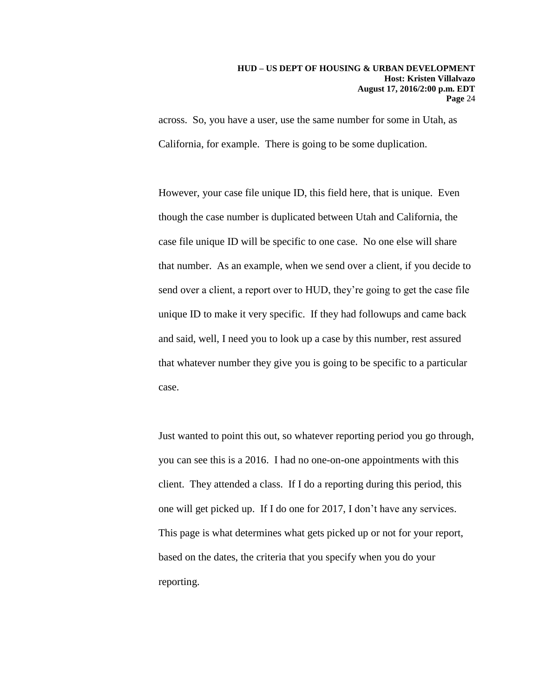across. So, you have a user, use the same number for some in Utah, as California, for example. There is going to be some duplication.

However, your case file unique ID, this field here, that is unique. Even though the case number is duplicated between Utah and California, the case file unique ID will be specific to one case. No one else will share that number. As an example, when we send over a client, if you decide to send over a client, a report over to HUD, they're going to get the case file unique ID to make it very specific. If they had followups and came back and said, well, I need you to look up a case by this number, rest assured that whatever number they give you is going to be specific to a particular case.

Just wanted to point this out, so whatever reporting period you go through, you can see this is a 2016. I had no one-on-one appointments with this client. They attended a class. If I do a reporting during this period, this one will get picked up. If I do one for 2017, I don't have any services. This page is what determines what gets picked up or not for your report, based on the dates, the criteria that you specify when you do your reporting.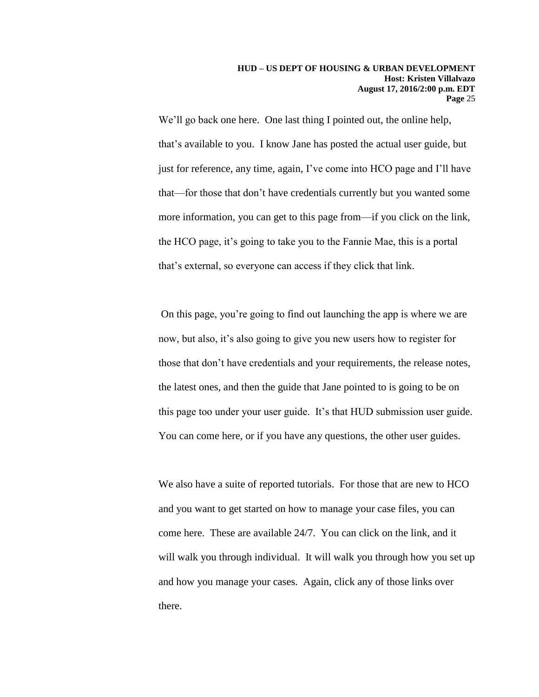We'll go back one here. One last thing I pointed out, the online help, that's available to you. I know Jane has posted the actual user guide, but just for reference, any time, again, I've come into HCO page and I'll have that—for those that don't have credentials currently but you wanted some more information, you can get to this page from—if you click on the link, the HCO page, it's going to take you to the Fannie Mae, this is a portal that's external, so everyone can access if they click that link.

On this page, you're going to find out launching the app is where we are now, but also, it's also going to give you new users how to register for those that don't have credentials and your requirements, the release notes, the latest ones, and then the guide that Jane pointed to is going to be on this page too under your user guide. It's that HUD submission user guide. You can come here, or if you have any questions, the other user guides.

We also have a suite of reported tutorials. For those that are new to HCO and you want to get started on how to manage your case files, you can come here. These are available 24/7. You can click on the link, and it will walk you through individual. It will walk you through how you set up and how you manage your cases. Again, click any of those links over there.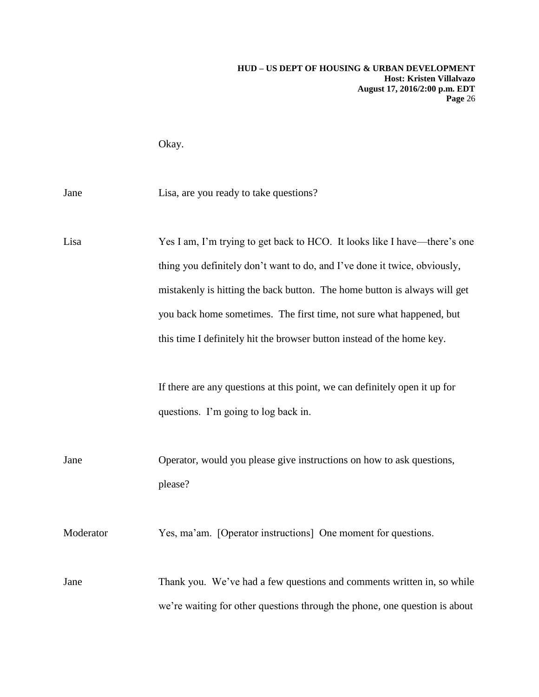Okay.

Jane Lisa, are you ready to take questions?

Lisa Yes I am, I'm trying to get back to HCO. It looks like I have—there's one thing you definitely don't want to do, and I've done it twice, obviously, mistakenly is hitting the back button. The home button is always will get you back home sometimes. The first time, not sure what happened, but this time I definitely hit the browser button instead of the home key.

> If there are any questions at this point, we can definitely open it up for questions. I'm going to log back in.

Jane Operator, would you please give instructions on how to ask questions, please?

Moderator Yes, ma'am. [Operator instructions] One moment for questions.

Jane Thank you. We've had a few questions and comments written in, so while we're waiting for other questions through the phone, one question is about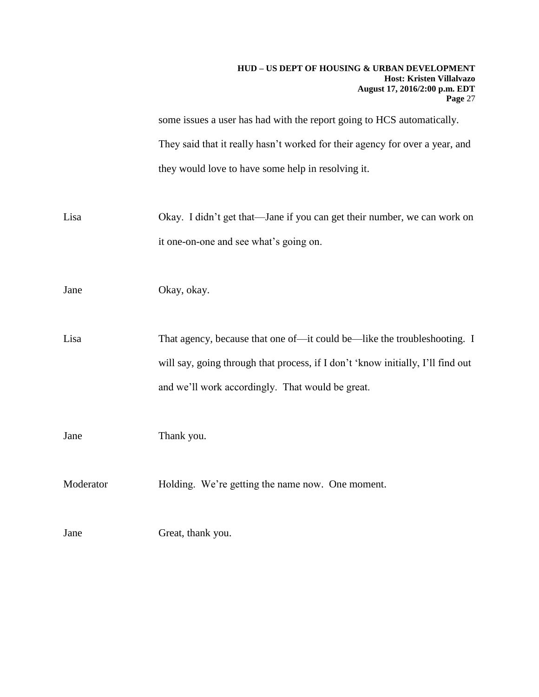some issues a user has had with the report going to HCS automatically. They said that it really hasn't worked for their agency for over a year, and they would love to have some help in resolving it.

Lisa Okay. I didn't get that—Jane if you can get their number, we can work on it one-on-one and see what's going on.

Jane Okay, okay.

Lisa That agency, because that one of—it could be—like the troubleshooting. I will say, going through that process, if I don't 'know initially, I'll find out and we'll work accordingly. That would be great.

Jane Thank you.

Moderator **Holding.** We're getting the name now. One moment.

Jane Great, thank you.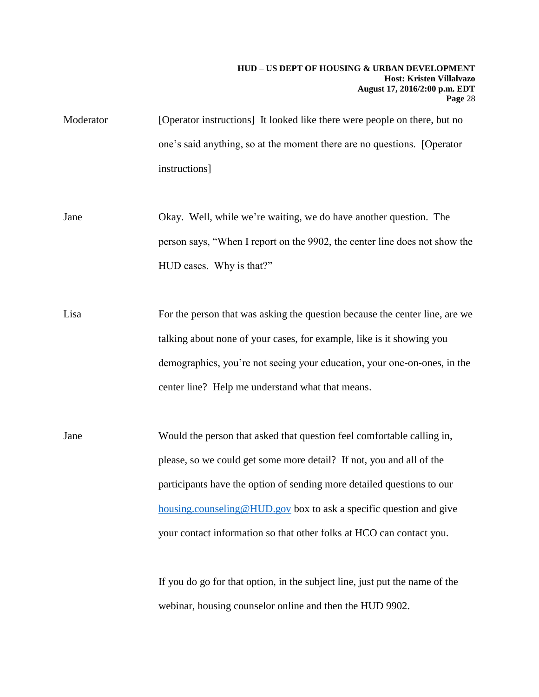- Moderator [Operator instructions] It looked like there were people on there, but no one's said anything, so at the moment there are no questions. [Operator instructions]
- Jane Okay. Well, while we're waiting, we do have another question. The person says, "When I report on the 9902, the center line does not show the HUD cases. Why is that?"
- Lisa For the person that was asking the question because the center line, are we talking about none of your cases, for example, like is it showing you demographics, you're not seeing your education, your one-on-ones, in the center line? Help me understand what that means.
- Jane Would the person that asked that question feel comfortable calling in, please, so we could get some more detail? If not, you and all of the participants have the option of sending more detailed questions to our [housing.counseling@HUD.gov](mailto:housing.counseling@HUD.gov) box to ask a specific question and give your contact information so that other folks at HCO can contact you.

If you do go for that option, in the subject line, just put the name of the webinar, housing counselor online and then the HUD 9902.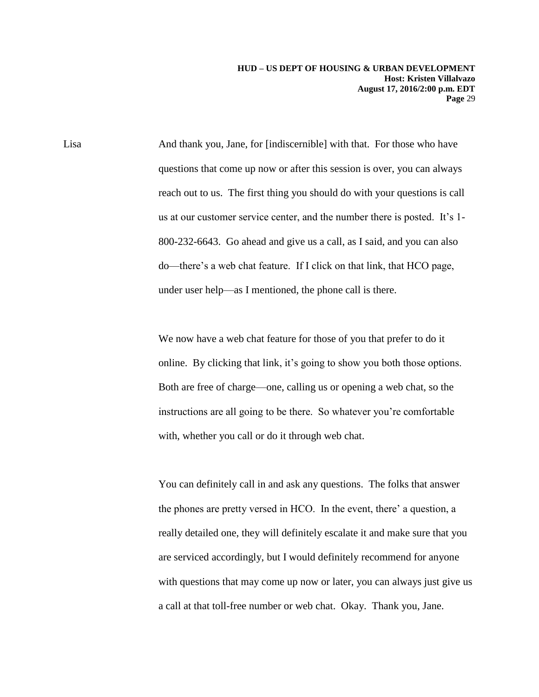Lisa And thank you, Jane, for [indiscernible] with that. For those who have questions that come up now or after this session is over, you can always reach out to us. The first thing you should do with your questions is call us at our customer service center, and the number there is posted. It's 1- 800-232-6643. Go ahead and give us a call, as I said, and you can also do—there's a web chat feature. If I click on that link, that HCO page, under user help—as I mentioned, the phone call is there.

> We now have a web chat feature for those of you that prefer to do it online. By clicking that link, it's going to show you both those options. Both are free of charge—one, calling us or opening a web chat, so the instructions are all going to be there. So whatever you're comfortable with, whether you call or do it through web chat.

You can definitely call in and ask any questions. The folks that answer the phones are pretty versed in HCO. In the event, there' a question, a really detailed one, they will definitely escalate it and make sure that you are serviced accordingly, but I would definitely recommend for anyone with questions that may come up now or later, you can always just give us a call at that toll-free number or web chat. Okay. Thank you, Jane.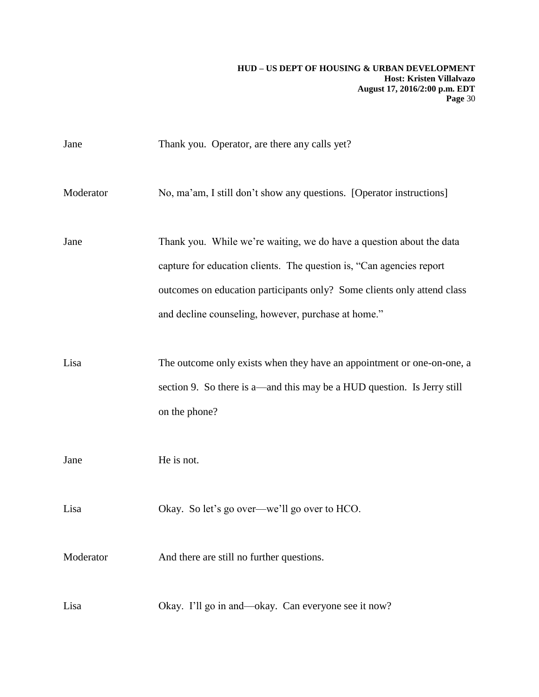| Jane      | Thank you. Operator, are there any calls yet?                                                                                                                                                                                                                                  |
|-----------|--------------------------------------------------------------------------------------------------------------------------------------------------------------------------------------------------------------------------------------------------------------------------------|
| Moderator | No, ma'am, I still don't show any questions. [Operator instructions]                                                                                                                                                                                                           |
| Jane      | Thank you. While we're waiting, we do have a question about the data<br>capture for education clients. The question is, "Can agencies report<br>outcomes on education participants only? Some clients only attend class<br>and decline counseling, however, purchase at home." |
| Lisa      | The outcome only exists when they have an appointment or one-on-one, a<br>section 9. So there is a—and this may be a HUD question. Is Jerry still<br>on the phone?                                                                                                             |
| Jane      | He is not.                                                                                                                                                                                                                                                                     |
| Lisa      | Okay. So let's go over—we'll go over to HCO.                                                                                                                                                                                                                                   |
| Moderator | And there are still no further questions.                                                                                                                                                                                                                                      |
| Lisa      | Okay. I'll go in and—okay. Can everyone see it now?                                                                                                                                                                                                                            |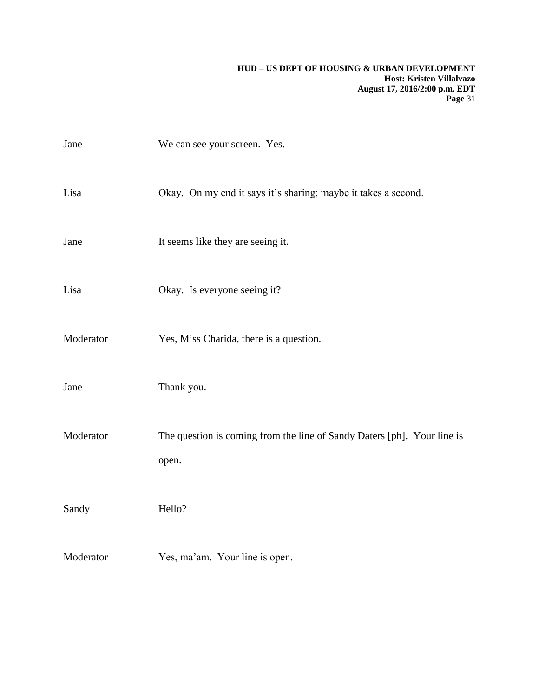| Jane      | We can see your screen. Yes.                                                     |
|-----------|----------------------------------------------------------------------------------|
| Lisa      | Okay. On my end it says it's sharing; maybe it takes a second.                   |
| Jane      | It seems like they are seeing it.                                                |
| Lisa      | Okay. Is everyone seeing it?                                                     |
| Moderator | Yes, Miss Charida, there is a question.                                          |
| Jane      | Thank you.                                                                       |
| Moderator | The question is coming from the line of Sandy Daters [ph]. Your line is<br>open. |
| Sandy     | Hello?                                                                           |
| Moderator | Yes, ma'am. Your line is open.                                                   |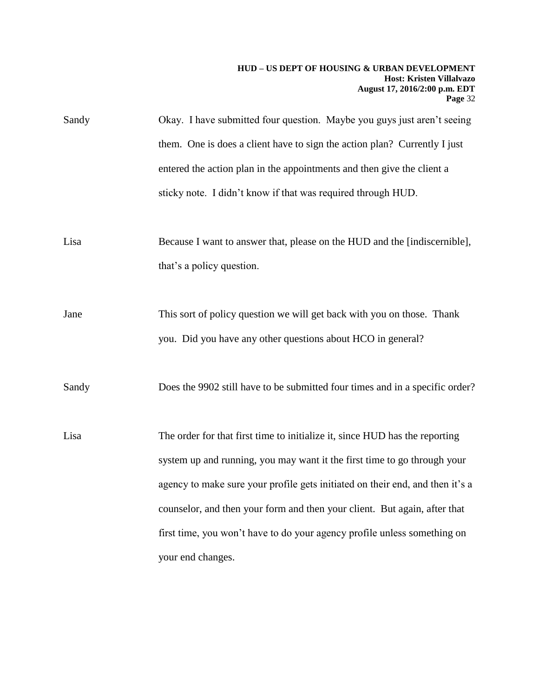| Sandy | Okay. I have submitted four question. Maybe you guys just aren't seeing                                                               |
|-------|---------------------------------------------------------------------------------------------------------------------------------------|
|       | them. One is does a client have to sign the action plan? Currently I just                                                             |
|       | entered the action plan in the appointments and then give the client a                                                                |
|       | sticky note. I didn't know if that was required through HUD.                                                                          |
| Lisa  | Because I want to answer that, please on the HUD and the [indiscernible],<br>that's a policy question.                                |
| Jane  | This sort of policy question we will get back with you on those. Thank<br>you. Did you have any other questions about HCO in general? |
| Sandy | Does the 9902 still have to be submitted four times and in a specific order?                                                          |
| Lisa  | The order for that first time to initialize it, since HUD has the reporting                                                           |
|       | system up and running, you may want it the first time to go through your                                                              |
|       | agency to make sure your profile gets initiated on their end, and then it's a                                                         |
|       | counselor, and then your form and then your client. But again, after that                                                             |
|       | first time, you won't have to do your agency profile unless something on                                                              |
|       | your end changes.                                                                                                                     |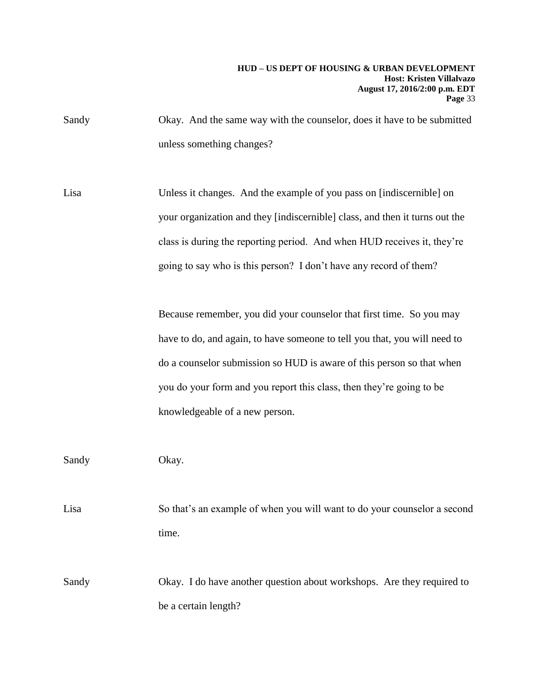- Sandy Okay. And the same way with the counselor, does it have to be submitted unless something changes?
- Lisa Unless it changes. And the example of you pass on [indiscernible] on your organization and they [indiscernible] class, and then it turns out the class is during the reporting period. And when HUD receives it, they're going to say who is this person? I don't have any record of them?

Because remember, you did your counselor that first time. So you may have to do, and again, to have someone to tell you that, you will need to do a counselor submission so HUD is aware of this person so that when you do your form and you report this class, then they're going to be knowledgeable of a new person.

Sandy Okay.

Lisa So that's an example of when you will want to do your counselor a second time.

Sandy Okay. I do have another question about workshops. Are they required to be a certain length?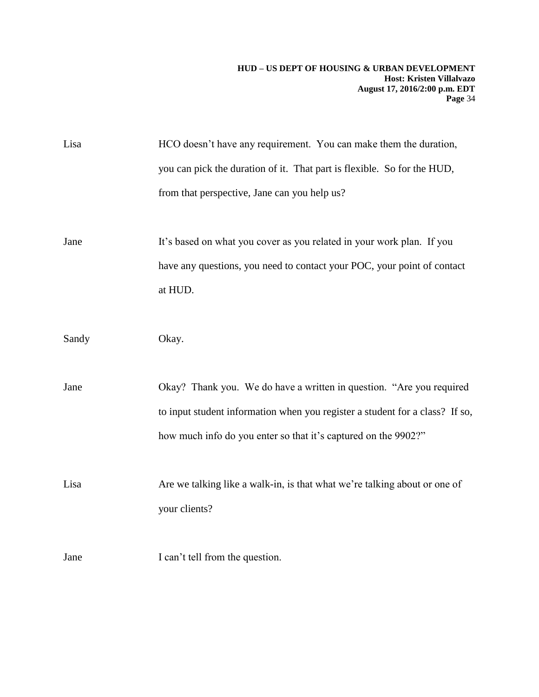| Lisa  | HCO doesn't have any requirement. You can make them the duration,            |
|-------|------------------------------------------------------------------------------|
|       | you can pick the duration of it. That part is flexible. So for the HUD,      |
|       | from that perspective, Jane can you help us?                                 |
|       |                                                                              |
| Jane  | It's based on what you cover as you related in your work plan. If you        |
|       | have any questions, you need to contact your POC, your point of contact      |
|       | at HUD.                                                                      |
|       |                                                                              |
| Sandy | Okay.                                                                        |
|       |                                                                              |
| Jane  | Okay? Thank you. We do have a written in question. "Are you required         |
|       | to input student information when you register a student for a class? If so, |
|       | how much info do you enter so that it's captured on the 9902?"               |
|       |                                                                              |
| Lisa  | Are we talking like a walk-in, is that what we're talking about or one of    |
|       | your clients?                                                                |
|       |                                                                              |
|       |                                                                              |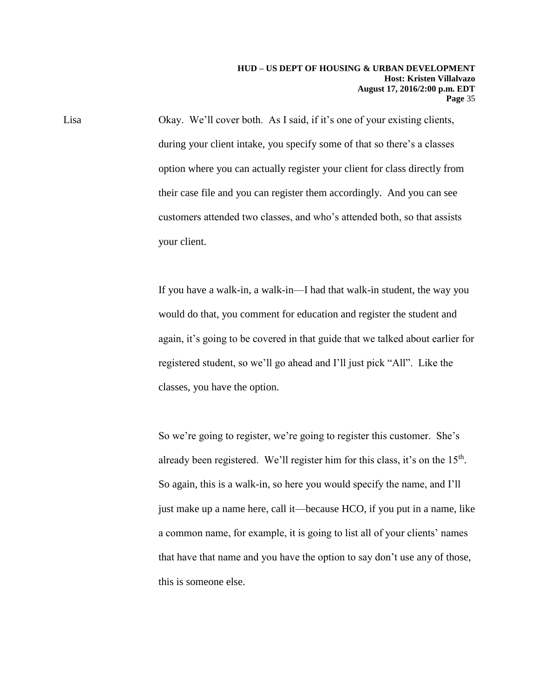Lisa Okay. We'll cover both. As I said, if it's one of your existing clients, during your client intake, you specify some of that so there's a classes option where you can actually register your client for class directly from their case file and you can register them accordingly. And you can see customers attended two classes, and who's attended both, so that assists your client.

> If you have a walk-in, a walk-in—I had that walk-in student, the way you would do that, you comment for education and register the student and again, it's going to be covered in that guide that we talked about earlier for registered student, so we'll go ahead and I'll just pick "All". Like the classes, you have the option.

> So we're going to register, we're going to register this customer. She's already been registered. We'll register him for this class, it's on the  $15<sup>th</sup>$ . So again, this is a walk-in, so here you would specify the name, and I'll just make up a name here, call it—because HCO, if you put in a name, like a common name, for example, it is going to list all of your clients' names that have that name and you have the option to say don't use any of those, this is someone else.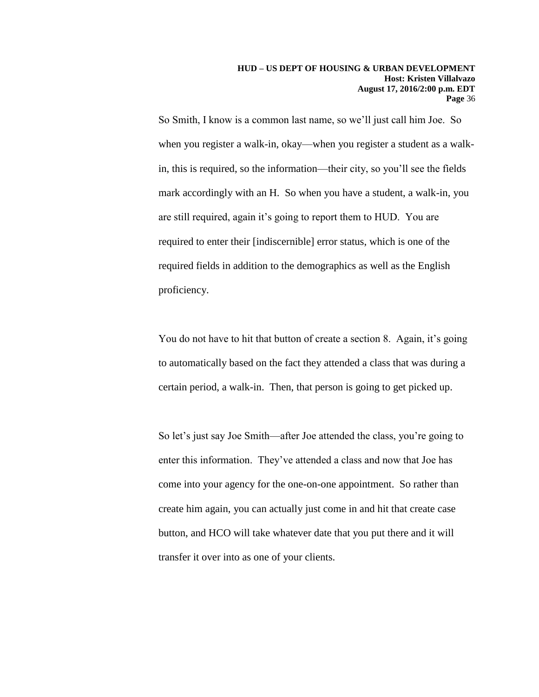So Smith, I know is a common last name, so we'll just call him Joe. So when you register a walk-in, okay—when you register a student as a walkin, this is required, so the information—their city, so you'll see the fields mark accordingly with an H. So when you have a student, a walk-in, you are still required, again it's going to report them to HUD. You are required to enter their [indiscernible] error status, which is one of the required fields in addition to the demographics as well as the English proficiency.

You do not have to hit that button of create a section 8. Again, it's going to automatically based on the fact they attended a class that was during a certain period, a walk-in. Then, that person is going to get picked up.

So let's just say Joe Smith—after Joe attended the class, you're going to enter this information. They've attended a class and now that Joe has come into your agency for the one-on-one appointment. So rather than create him again, you can actually just come in and hit that create case button, and HCO will take whatever date that you put there and it will transfer it over into as one of your clients.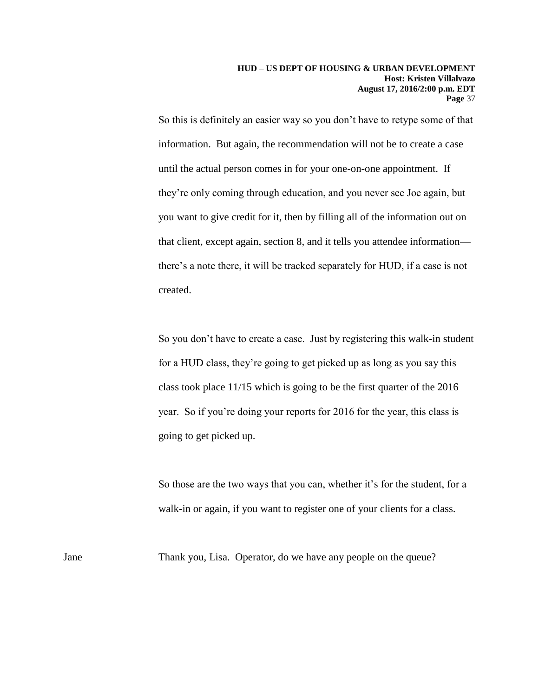So this is definitely an easier way so you don't have to retype some of that information. But again, the recommendation will not be to create a case until the actual person comes in for your one-on-one appointment. If they're only coming through education, and you never see Joe again, but you want to give credit for it, then by filling all of the information out on that client, except again, section 8, and it tells you attendee information there's a note there, it will be tracked separately for HUD, if a case is not created.

So you don't have to create a case. Just by registering this walk-in student for a HUD class, they're going to get picked up as long as you say this class took place 11/15 which is going to be the first quarter of the 2016 year. So if you're doing your reports for 2016 for the year, this class is going to get picked up.

So those are the two ways that you can, whether it's for the student, for a walk-in or again, if you want to register one of your clients for a class.

Jane Thank you, Lisa. Operator, do we have any people on the queue?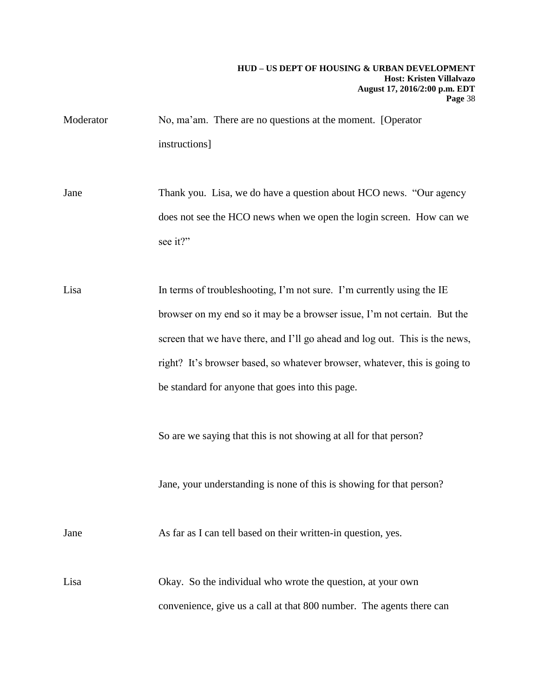- Moderator No, ma'am. There are no questions at the moment. [Operator instructions]
- Jane Thank you. Lisa, we do have a question about HCO news. "Our agency does not see the HCO news when we open the login screen. How can we see it?"
- Lisa In terms of troubleshooting, I'm not sure. I'm currently using the IE browser on my end so it may be a browser issue, I'm not certain. But the screen that we have there, and I'll go ahead and log out. This is the news, right? It's browser based, so whatever browser, whatever, this is going to be standard for anyone that goes into this page.

So are we saying that this is not showing at all for that person?

Jane, your understanding is none of this is showing for that person?

Jane As far as I can tell based on their written-in question, yes.

Lisa Okay. So the individual who wrote the question, at your own convenience, give us a call at that 800 number. The agents there can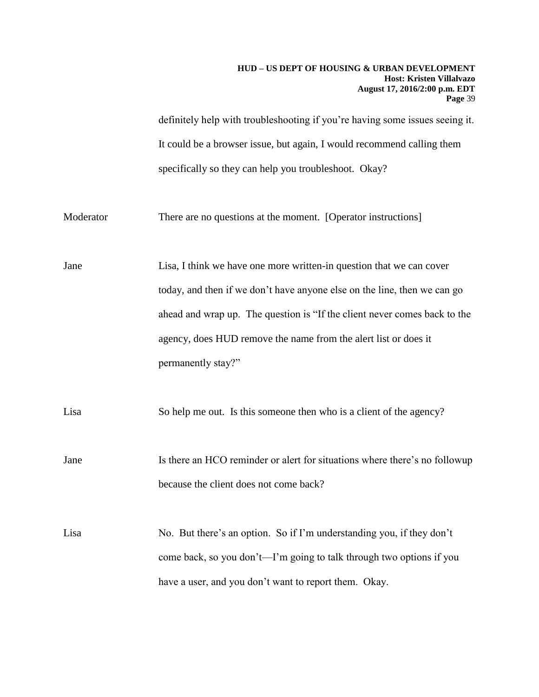definitely help with troubleshooting if you're having some issues seeing it. It could be a browser issue, but again, I would recommend calling them specifically so they can help you troubleshoot. Okay?

Moderator There are no questions at the moment. [Operator instructions]

Jane Lisa, I think we have one more written-in question that we can cover today, and then if we don't have anyone else on the line, then we can go ahead and wrap up. The question is "If the client never comes back to the agency, does HUD remove the name from the alert list or does it permanently stay?"

Lisa So help me out. Is this someone then who is a client of the agency?

Jane Is there an HCO reminder or alert for situations where there's no followup because the client does not come back?

Lisa No. But there's an option. So if I'm understanding you, if they don't come back, so you don't—I'm going to talk through two options if you have a user, and you don't want to report them. Okay.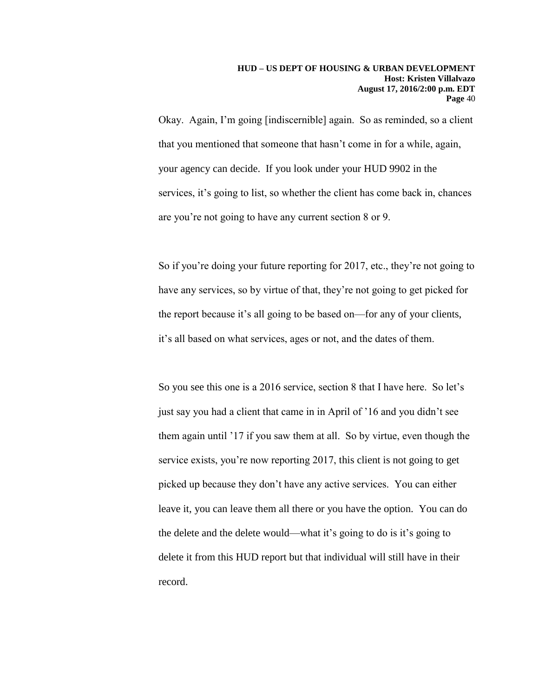Okay. Again, I'm going [indiscernible] again. So as reminded, so a client that you mentioned that someone that hasn't come in for a while, again, your agency can decide. If you look under your HUD 9902 in the services, it's going to list, so whether the client has come back in, chances are you're not going to have any current section 8 or 9.

So if you're doing your future reporting for 2017, etc., they're not going to have any services, so by virtue of that, they're not going to get picked for the report because it's all going to be based on—for any of your clients, it's all based on what services, ages or not, and the dates of them.

So you see this one is a 2016 service, section 8 that I have here. So let's just say you had a client that came in in April of '16 and you didn't see them again until '17 if you saw them at all. So by virtue, even though the service exists, you're now reporting 2017, this client is not going to get picked up because they don't have any active services. You can either leave it, you can leave them all there or you have the option. You can do the delete and the delete would—what it's going to do is it's going to delete it from this HUD report but that individual will still have in their record.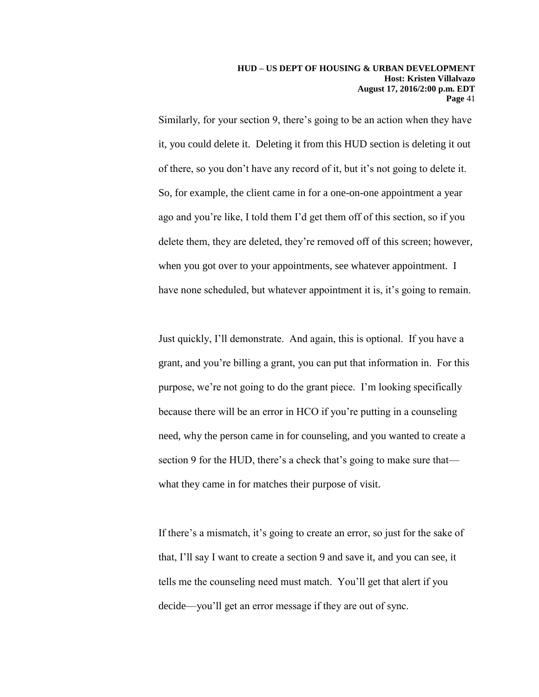Similarly, for your section 9, there's going to be an action when they have it, you could delete it. Deleting it from this HUD section is deleting it out of there, so you don't have any record of it, but it's not going to delete it. So, for example, the client came in for a one-on-one appointment a year ago and you're like, I told them I'd get them off of this section, so if you delete them, they are deleted, they're removed off of this screen; however, when you got over to your appointments, see whatever appointment. I have none scheduled, but whatever appointment it is, it's going to remain.

Just quickly, I'll demonstrate. And again, this is optional. If you have a grant, and you're billing a grant, you can put that information in. For this purpose, we're not going to do the grant piece. I'm looking specifically because there will be an error in HCO if you're putting in a counseling need, why the person came in for counseling, and you wanted to create a section 9 for the HUD, there's a check that's going to make sure that what they came in for matches their purpose of visit.

If there's a mismatch, it's going to create an error, so just for the sake of that, I'll say I want to create a section 9 and save it, and you can see, it tells me the counseling need must match. You'll get that alert if you decide—you'll get an error message if they are out of sync.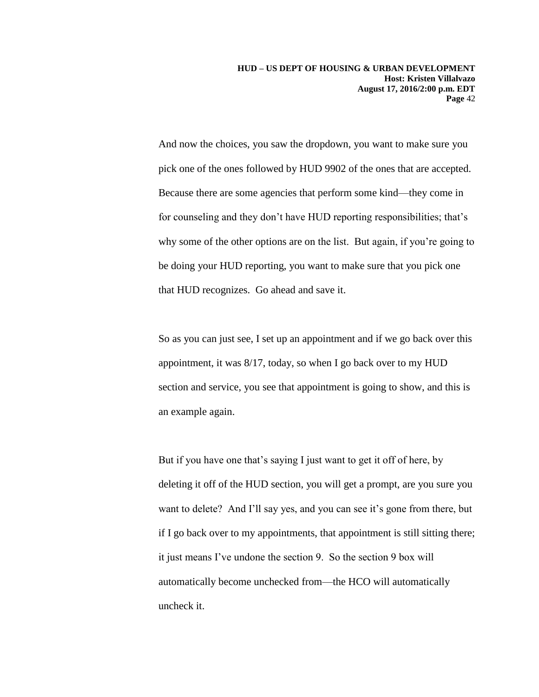And now the choices, you saw the dropdown, you want to make sure you pick one of the ones followed by HUD 9902 of the ones that are accepted. Because there are some agencies that perform some kind—they come in for counseling and they don't have HUD reporting responsibilities; that's why some of the other options are on the list. But again, if you're going to be doing your HUD reporting, you want to make sure that you pick one that HUD recognizes. Go ahead and save it.

So as you can just see, I set up an appointment and if we go back over this appointment, it was 8/17, today, so when I go back over to my HUD section and service, you see that appointment is going to show, and this is an example again.

But if you have one that's saying I just want to get it off of here, by deleting it off of the HUD section, you will get a prompt, are you sure you want to delete? And I'll say yes, and you can see it's gone from there, but if I go back over to my appointments, that appointment is still sitting there; it just means I've undone the section 9. So the section 9 box will automatically become unchecked from—the HCO will automatically uncheck it.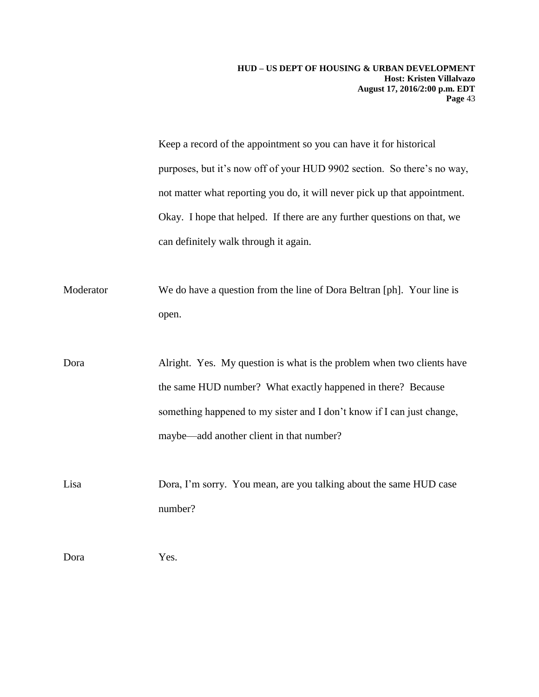Keep a record of the appointment so you can have it for historical purposes, but it's now off of your HUD 9902 section. So there's no way, not matter what reporting you do, it will never pick up that appointment. Okay. I hope that helped. If there are any further questions on that, we can definitely walk through it again.

Moderator We do have a question from the line of Dora Beltran [ph]. Your line is open.

Dora Alright. Yes. My question is what is the problem when two clients have the same HUD number? What exactly happened in there? Because something happened to my sister and I don't know if I can just change, maybe—add another client in that number?

Lisa Dora, I'm sorry. You mean, are you talking about the same HUD case number?

Dora Yes.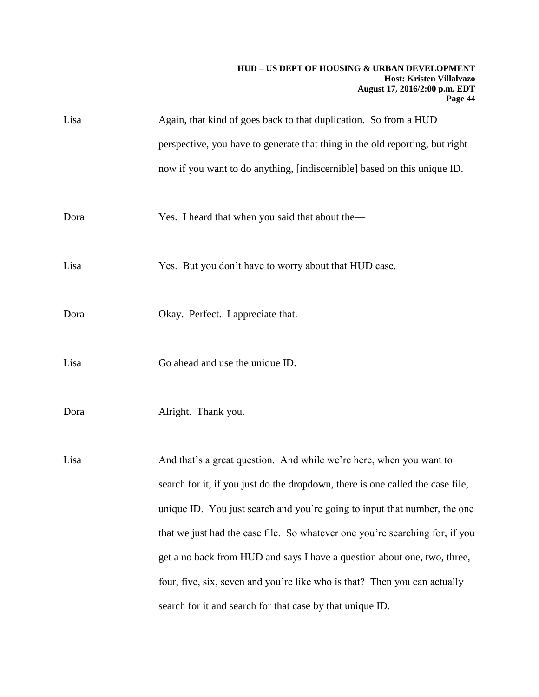| Lisa | Again, that kind of goes back to that duplication. So from a HUD               |
|------|--------------------------------------------------------------------------------|
|      | perspective, you have to generate that thing in the old reporting, but right   |
|      | now if you want to do anything, [indiscernible] based on this unique ID.       |
|      |                                                                                |
| Dora | Yes. I heard that when you said that about the—                                |
|      |                                                                                |
| Lisa | Yes. But you don't have to worry about that HUD case.                          |
|      |                                                                                |
| Dora | Okay. Perfect. I appreciate that.                                              |
| Lisa | Go ahead and use the unique ID.                                                |
|      |                                                                                |
| Dora | Alright. Thank you.                                                            |
|      |                                                                                |
| Lisa | And that's a great question. And while we're here, when you want to            |
|      | search for it, if you just do the dropdown, there is one called the case file, |
|      | unique ID. You just search and you're going to input that number, the one      |
|      | that we just had the case file. So whatever one you're searching for, if you   |
|      | get a no back from HUD and says I have a question about one, two, three,       |
|      | four, five, six, seven and you're like who is that? Then you can actually      |
|      | search for it and search for that case by that unique ID.                      |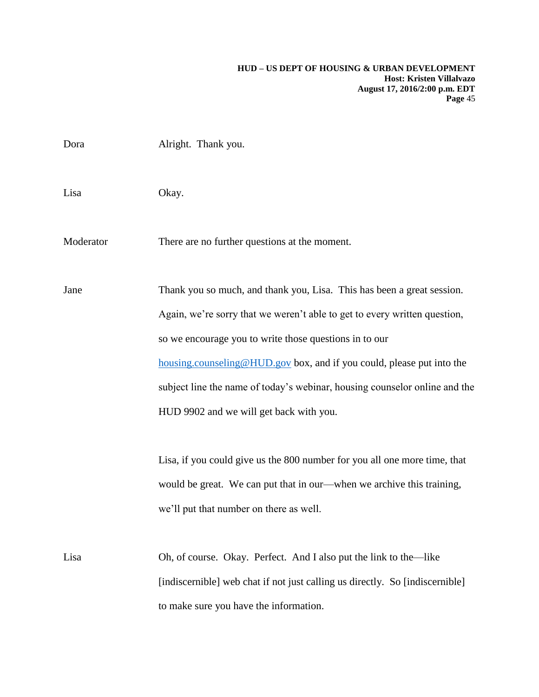| Dora      | Alright. Thank you.                                                                                                                                                                                                                                                                                                                                                                                             |
|-----------|-----------------------------------------------------------------------------------------------------------------------------------------------------------------------------------------------------------------------------------------------------------------------------------------------------------------------------------------------------------------------------------------------------------------|
| Lisa      | Okay.                                                                                                                                                                                                                                                                                                                                                                                                           |
| Moderator | There are no further questions at the moment.                                                                                                                                                                                                                                                                                                                                                                   |
| Jane      | Thank you so much, and thank you, Lisa. This has been a great session.<br>Again, we're sorry that we weren't able to get to every written question,<br>so we encourage you to write those questions in to our<br>housing.counseling@HUD.gov box, and if you could, please put into the<br>subject line the name of today's webinar, housing counselor online and the<br>HUD 9902 and we will get back with you. |
|           | Lisa, if you could give us the 800 number for you all one more time, that<br>would be great. We can put that in our—when we archive this training,<br>we'll put that number on there as well.                                                                                                                                                                                                                   |
| Lisa      | Oh, of course. Okay. Perfect. And I also put the link to the—like<br>[indiscernible] web chat if not just calling us directly. So [indiscernible]<br>to make sure you have the information.                                                                                                                                                                                                                     |